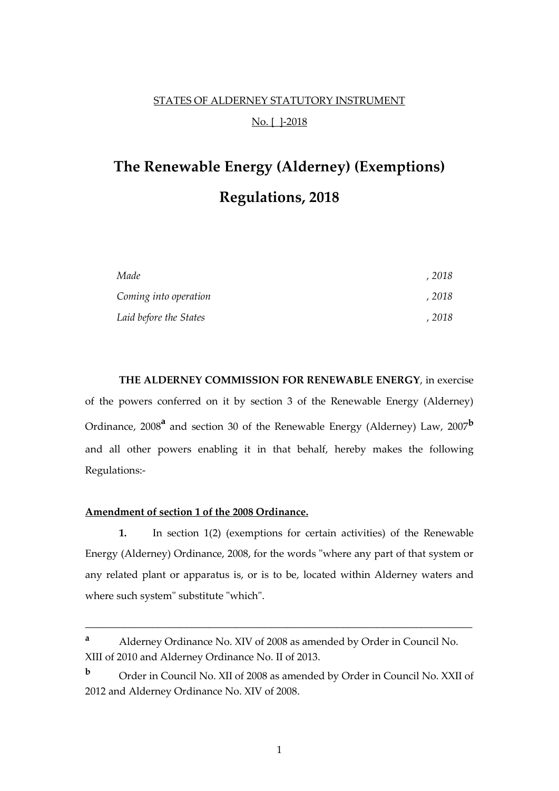## STATES OF ALDERNEY STATUTORY INSTRUMENT No. [ ]-2018

# **The Renewable Energy (Alderney) (Exemptions) Regulations, 2018**

| Made                   | , 2018 |
|------------------------|--------|
| Coming into operation  | , 2018 |
| Laid before the States | , 2018 |

**THE ALDERNEY COMMISSION FOR RENEWABLE ENERGY**, in exercise of the powers conferred on it by section 3 of the Renewable Energy (Alderney) Ordinance, 2008<sup>a</sup> and section 30 of the Renewable Energy (Alderney) Law, 2007<sup>b</sup> and all other powers enabling it in that behalf, hereby makes the following Regulations:-

#### **Amendment of section 1 of the 2008 Ordinance.**

**1.** In section 1(2) (exemptions for certain activities) of the Renewable Energy (Alderney) Ordinance, 2008, for the words "where any part of that system or any related plant or apparatus is, or is to be, located within Alderney waters and where such system" substitute "which".

\_\_\_\_\_\_\_\_\_\_\_\_\_\_\_\_\_\_\_\_\_\_\_\_\_\_\_\_\_\_\_\_\_\_\_\_\_\_\_\_\_\_\_\_\_\_\_\_\_\_\_\_\_\_\_\_\_\_\_\_\_\_\_\_\_\_\_\_\_

**<sup>a</sup>** Alderney Ordinance No. XIV of 2008 as amended by Order in Council No. XIII of 2010 and Alderney Ordinance No. II of 2013.

**<sup>b</sup>** Order in Council No. XII of 2008 as amended by Order in Council No. XXII of 2012 and Alderney Ordinance No. XIV of 2008.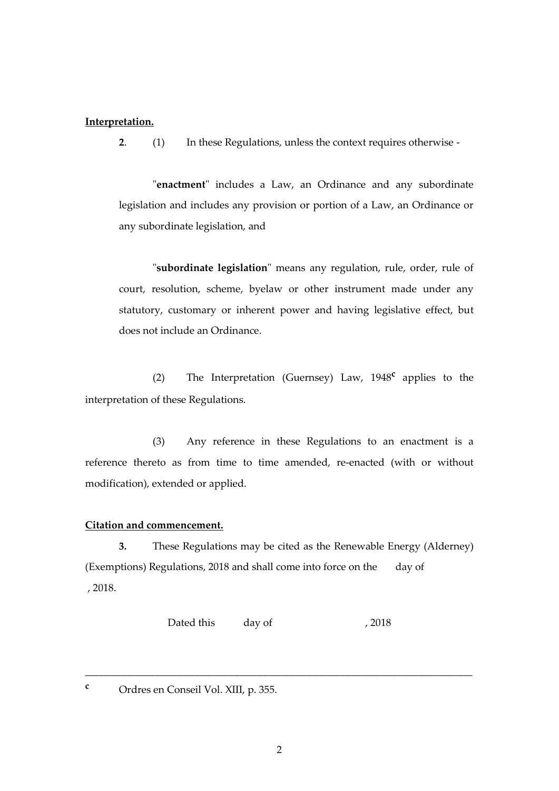### **Interpretation.**

**2**. (1) In these Regulations, unless the context requires otherwise -

"**enactment**" includes a Law, an Ordinance and any subordinate legislation and includes any provision or portion of a Law, an Ordinance or any subordinate legislation, and

"**subordinate legislation**" means any regulation, rule, order, rule of court, resolution, scheme, byelaw or other instrument made under any statutory, customary or inherent power and having legislative effect, but does not include an Ordinance.

(2) The Interpretation (Guernsey) Law, 1948**<sup>c</sup>** applies to the interpretation of these Regulations.

(3) Any reference in these Regulations to an enactment is a reference thereto as from time to time amended, re-enacted (with or without modification), extended or applied.

#### **Citation and commencement.**

**3.** These Regulations may be cited as the Renewable Energy (Alderney) (Exemptions) Regulations, 2018 and shall come into force on the day of , 2018.

Dated this day of , 2018

\_\_\_\_\_\_\_\_\_\_\_\_\_\_\_\_\_\_\_\_\_\_\_\_\_\_\_\_\_\_\_\_\_\_\_\_\_\_\_\_\_\_\_\_\_\_\_\_\_\_\_\_\_\_\_\_\_\_\_\_\_\_\_\_\_\_\_\_\_

**<sup>c</sup>** Ordres en Conseil Vol. XIII, p. 355.